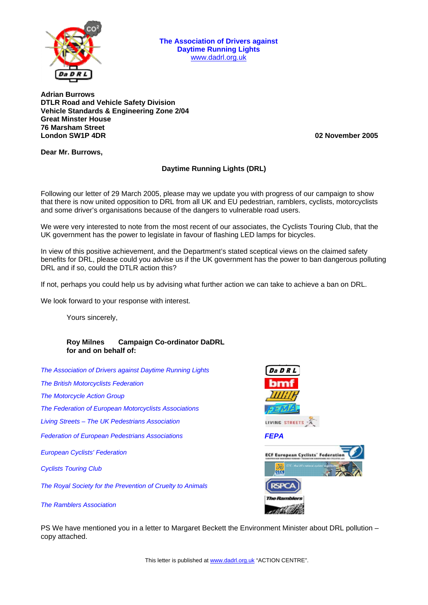

**The Association of Drivers against Daytime Running Lights**  www.dadrl.org.uk

**Adrian Burrows DTLR Road and Vehicle Safety Division Vehicle Standards & Engineering Zone 2/04 Great Minster House 76 Marsham Street London SW1P 4DR 02 November 2005**

**Dear Mr. Burrows,** 

## **Daytime Running Lights (DRL)**

Following our letter of 29 March 2005, please may we update you with progress of our campaign to show that there is now united opposition to DRL from all UK and EU pedestrian, ramblers, cyclists, motorcyclists and some driver's organisations because of the dangers to vulnerable road users.

We were very interested to note from the most recent of our associates, the Cyclists Touring Club, that the UK government has the power to legislate in favour of flashing LED lamps for bicycles.

In view of this positive achievement, and the Department's stated sceptical views on the claimed safety benefits for DRL, please could you advise us if the UK government has the power to ban dangerous polluting DRL and if so, could the DTLR action this?

If not, perhaps you could help us by advising what further action we can take to achieve a ban on DRL.

We look forward to your response with interest.

Yours sincerely,

## **Roy Milnes Campaign Co-ordinator DaDRL for and on behalf of:**

*The Association of Drivers against Daytime Running Lights* 

*The British Motorcyclists Federation* 

*The Motorcycle Action Group* 

*The Federation of European Motorcyclists Associations* 

*Living Streets – The UK Pedestrians Association* 

*Federation of European Pedestrians Associations FEPA*

*European Cyclists' Federation* 

*Cyclists Touring Club* 

*The Royal Society for the Prevention of Cruelty to Animals* 

*The Ramblers Association* 



PS We have mentioned you in a letter to Margaret Beckett the Environment Minister about DRL pollution – copy attached.

This letter is published at [www.dadrl.org.uk](http://www.dadrl.org.uk/) "ACTION CENTRE".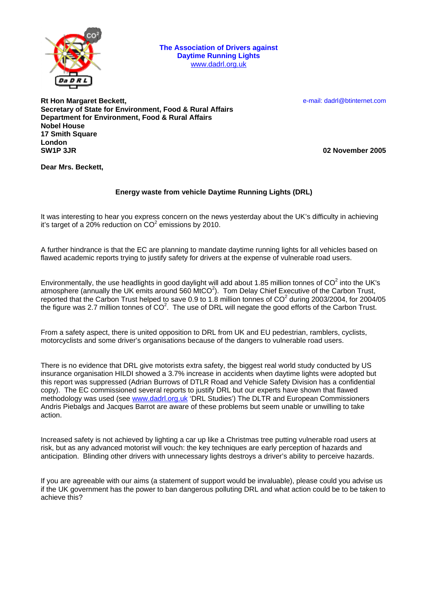

**The Association of Drivers against Daytime Running Lights**  www.dadrl.org.uk

e-mail: dadrl@btinternet.com

**Rt Hon Margaret Beckett, Secretary of State for Environment, Food & Rural Affairs Department for Environment, Food & Rural Affairs Nobel House 17 Smith Square**  London<br>**SW1P 3.JR** 

**SW1P 3JR 02 November 2005**

**Dear Mrs. Beckett,** 

## **Energy waste from vehicle Daytime Running Lights (DRL)**

It was interesting to hear you express concern on the news yesterday about the UK's difficulty in achieving it's target of a 20% reduction on  $CO^2$  emissions by 2010.

A further hindrance is that the EC are planning to mandate daytime running lights for all vehicles based on flawed academic reports trying to justify safety for drivers at the expense of vulnerable road users.

Environmentally, the use headlights in good daylight will add about 1.85 million tonnes of CO<sup>2</sup> into the UK's atmosphere (annually the UK emits around 560  $\text{MtCO}^2$ ). Tom Delay Chief Executive of the Carbon Trust, reported that the Carbon Trust helped to save 0.9 to 1.8 million tonnes of  $CO^2$  during 2003/2004, for 2004/05 the figure was 2.7 million tonnes of  $CO<sup>2</sup>$ . The use of DRL will negate the good efforts of the Carbon Trust.

From a safety aspect, there is united opposition to DRL from UK and EU pedestrian, ramblers, cyclists, motorcyclists and some driver's organisations because of the dangers to vulnerable road users.

There is no evidence that DRL give motorists extra safety, the biggest real world study conducted by US insurance organisation HILDI showed a 3.7% increase in accidents when daytime lights were adopted but this report was suppressed (Adrian Burrows of DTLR Road and Vehicle Safety Division has a confidential copy). The EC commissioned several reports to justify DRL but our experts have shown that flawed methodology was used (see [www.dadrl.org.uk](http://www.dadrl.org.uk/) 'DRL Studies') The DLTR and European Commissioners Andris Piebalgs and Jacques Barrot are aware of these problems but seem unable or unwilling to take action.

Increased safety is not achieved by lighting a car up like a Christmas tree putting vulnerable road users at risk, but as any advanced motorist will vouch: the key techniques are early perception of hazards and anticipation. Blinding other drivers with unnecessary lights destroys a driver's ability to perceive hazards.

If you are agreeable with our aims (a statement of support would be invaluable), please could you advise us if the UK government has the power to ban dangerous polluting DRL and what action could be to be taken to achieve this?